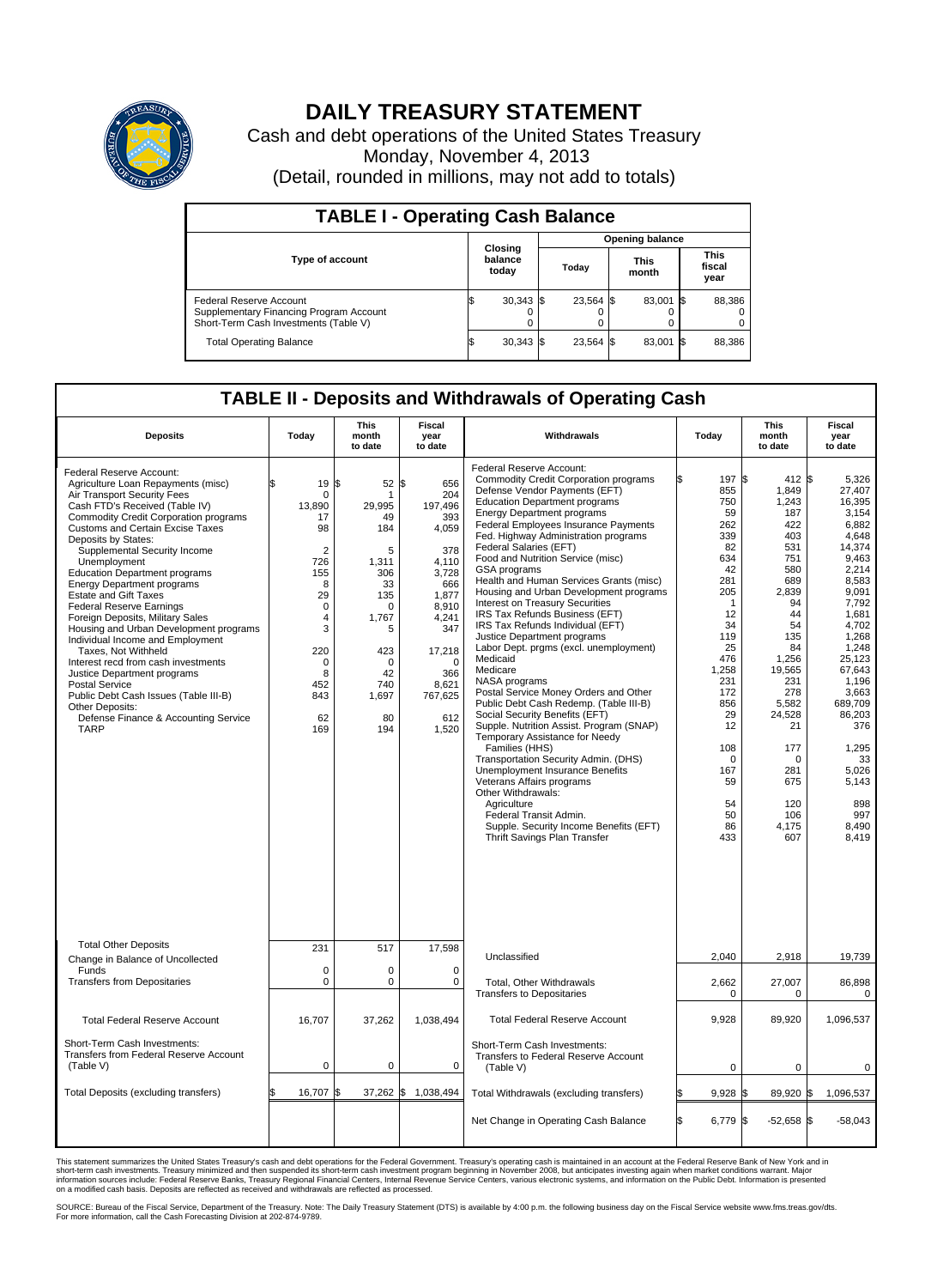

## **DAILY TREASURY STATEMENT**

Cash and debt operations of the United States Treasury Monday, November 4, 2013 (Detail, rounded in millions, may not add to totals)

| <b>TABLE I - Operating Cash Balance</b>                                                                     |  |                             |                        |           |  |                      |      |                        |  |  |  |
|-------------------------------------------------------------------------------------------------------------|--|-----------------------------|------------------------|-----------|--|----------------------|------|------------------------|--|--|--|
|                                                                                                             |  |                             | <b>Opening balance</b> |           |  |                      |      |                        |  |  |  |
| <b>Type of account</b>                                                                                      |  | Closing<br>balance<br>today |                        | Todav     |  | <b>This</b><br>month |      | This<br>fiscal<br>year |  |  |  |
| Federal Reserve Account<br>Supplementary Financing Program Account<br>Short-Term Cash Investments (Table V) |  | $30,343$ \$                 |                        | 23.564 \$ |  | 83,001               | - IS | 88,386                 |  |  |  |
| <b>Total Operating Balance</b>                                                                              |  | $30,343$ \$                 |                        | 23,564 \$ |  | 83,001               | - 13 | 88,386                 |  |  |  |

## **TABLE II - Deposits and Withdrawals of Operating Cash**

| <b>Deposits</b>                                                                                                                                                                                                                                                                                                                                                                                                                                                                                                                                                                                                                                                                                                                                                                                              | Today                                                                                                                                                                    | This<br>month<br>to date                                                                                                                                   | Fiscal<br>year<br>to date                                                                                                                                                | Withdrawals                                                                                                                                                                                                                                                                                                                                                                                                                                                                                                                                                                                                                                                                                                                                                                                                                                                                                                                                                                                                                                                                                                                                        | Today                                                                                                                                                                                                                          | <b>This</b><br>month<br>to date                                                                                                                                                                                                                   | Fiscal<br>year<br>to date                                                                                                                                                                                                                                                          |
|--------------------------------------------------------------------------------------------------------------------------------------------------------------------------------------------------------------------------------------------------------------------------------------------------------------------------------------------------------------------------------------------------------------------------------------------------------------------------------------------------------------------------------------------------------------------------------------------------------------------------------------------------------------------------------------------------------------------------------------------------------------------------------------------------------------|--------------------------------------------------------------------------------------------------------------------------------------------------------------------------|------------------------------------------------------------------------------------------------------------------------------------------------------------|--------------------------------------------------------------------------------------------------------------------------------------------------------------------------|----------------------------------------------------------------------------------------------------------------------------------------------------------------------------------------------------------------------------------------------------------------------------------------------------------------------------------------------------------------------------------------------------------------------------------------------------------------------------------------------------------------------------------------------------------------------------------------------------------------------------------------------------------------------------------------------------------------------------------------------------------------------------------------------------------------------------------------------------------------------------------------------------------------------------------------------------------------------------------------------------------------------------------------------------------------------------------------------------------------------------------------------------|--------------------------------------------------------------------------------------------------------------------------------------------------------------------------------------------------------------------------------|---------------------------------------------------------------------------------------------------------------------------------------------------------------------------------------------------------------------------------------------------|------------------------------------------------------------------------------------------------------------------------------------------------------------------------------------------------------------------------------------------------------------------------------------|
| Federal Reserve Account:<br>Agriculture Loan Repayments (misc)<br>Air Transport Security Fees<br>Cash FTD's Received (Table IV)<br><b>Commodity Credit Corporation programs</b><br><b>Customs and Certain Excise Taxes</b><br>Deposits by States:<br>Supplemental Security Income<br>Unemployment<br><b>Education Department programs</b><br><b>Energy Department programs</b><br><b>Estate and Gift Taxes</b><br><b>Federal Reserve Earnings</b><br>Foreign Deposits, Military Sales<br>Housing and Urban Development programs<br>Individual Income and Employment<br>Taxes, Not Withheld<br>Interest recd from cash investments<br>Justice Department programs<br><b>Postal Service</b><br>Public Debt Cash Issues (Table III-B)<br>Other Deposits:<br>Defense Finance & Accounting Service<br><b>TARP</b> | 19<br>\$.<br>$\mathbf 0$<br>13,890<br>17<br>98<br>$\overline{2}$<br>726<br>155<br>8<br>29<br>$\mathbf 0$<br>4<br>3<br>220<br>$\mathbf 0$<br>8<br>452<br>843<br>62<br>169 | 1\$<br>52 \$<br>1<br>29,995<br>49<br>184<br>5<br>1,311<br>306<br>33<br>135<br>$\Omega$<br>1,767<br>5<br>423<br>$\Omega$<br>42<br>740<br>1,697<br>80<br>194 | 656<br>204<br>197,496<br>393<br>4,059<br>378<br>4,110<br>3,728<br>666<br>1.877<br>8,910<br>4,241<br>347<br>17,218<br>$\Omega$<br>366<br>8,621<br>767,625<br>612<br>1,520 | Federal Reserve Account:<br><b>Commodity Credit Corporation programs</b><br>Defense Vendor Payments (EFT)<br><b>Education Department programs</b><br><b>Energy Department programs</b><br><b>Federal Employees Insurance Payments</b><br>Fed. Highway Administration programs<br>Federal Salaries (EFT)<br>Food and Nutrition Service (misc)<br>GSA programs<br>Health and Human Services Grants (misc)<br>Housing and Urban Development programs<br>Interest on Treasury Securities<br>IRS Tax Refunds Business (EFT)<br>IRS Tax Refunds Individual (EFT)<br>Justice Department programs<br>Labor Dept. prgms (excl. unemployment)<br>Medicaid<br>Medicare<br>NASA programs<br>Postal Service Money Orders and Other<br>Public Debt Cash Redemp. (Table III-B)<br>Social Security Benefits (EFT)<br>Supple. Nutrition Assist. Program (SNAP)<br>Temporary Assistance for Needy<br>Families (HHS)<br>Transportation Security Admin. (DHS)<br>Unemployment Insurance Benefits<br>Veterans Affairs programs<br>Other Withdrawals:<br>Agriculture<br>Federal Transit Admin.<br>Supple. Security Income Benefits (EFT)<br>Thrift Savings Plan Transfer | 197<br>855<br>750<br>59<br>262<br>339<br>82<br>634<br>42<br>281<br>205<br>$\overline{1}$<br>12<br>34<br>119<br>25<br>476<br>1,258<br>231<br>172<br>856<br>29<br>12<br>108<br>$\mathbf 0$<br>167<br>59<br>54<br>50<br>86<br>433 | 412S<br>\$<br>1,849<br>1,243<br>187<br>422<br>403<br>531<br>751<br>580<br>689<br>2,839<br>94<br>44<br>54<br>135<br>84<br>1,256<br>19,565<br>231<br>278<br>5,582<br>24,528<br>21<br>177<br>$\mathbf 0$<br>281<br>675<br>120<br>106<br>4.175<br>607 | 5.326<br>27,407<br>16,395<br>3,154<br>6.882<br>4,648<br>14,374<br>9,463<br>2.214<br>8,583<br>9,091<br>7,792<br>1,681<br>4,702<br>1,268<br>1,248<br>25,123<br>67.643<br>1.196<br>3,663<br>689.709<br>86,203<br>376<br>1,295<br>33<br>5,026<br>5,143<br>898<br>997<br>8.490<br>8,419 |
| <b>Total Other Deposits</b><br>Change in Balance of Uncollected                                                                                                                                                                                                                                                                                                                                                                                                                                                                                                                                                                                                                                                                                                                                              | 231                                                                                                                                                                      | 517                                                                                                                                                        | 17,598                                                                                                                                                                   | Unclassified                                                                                                                                                                                                                                                                                                                                                                                                                                                                                                                                                                                                                                                                                                                                                                                                                                                                                                                                                                                                                                                                                                                                       | 2,040                                                                                                                                                                                                                          | 2,918                                                                                                                                                                                                                                             | 19,739                                                                                                                                                                                                                                                                             |
| Funds<br><b>Transfers from Depositaries</b>                                                                                                                                                                                                                                                                                                                                                                                                                                                                                                                                                                                                                                                                                                                                                                  | $\mathbf 0$<br>$\mathbf 0$                                                                                                                                               | 0<br>0                                                                                                                                                     | $\mathbf 0$<br>$\mathbf 0$                                                                                                                                               | Total, Other Withdrawals<br><b>Transfers to Depositaries</b>                                                                                                                                                                                                                                                                                                                                                                                                                                                                                                                                                                                                                                                                                                                                                                                                                                                                                                                                                                                                                                                                                       | 2,662<br>$\Omega$                                                                                                                                                                                                              | 27,007<br>$\Omega$                                                                                                                                                                                                                                | 86,898<br>$\Omega$                                                                                                                                                                                                                                                                 |
| <b>Total Federal Reserve Account</b>                                                                                                                                                                                                                                                                                                                                                                                                                                                                                                                                                                                                                                                                                                                                                                         | 16.707                                                                                                                                                                   | 37,262                                                                                                                                                     | 1.038.494                                                                                                                                                                | <b>Total Federal Reserve Account</b>                                                                                                                                                                                                                                                                                                                                                                                                                                                                                                                                                                                                                                                                                                                                                                                                                                                                                                                                                                                                                                                                                                               | 9,928                                                                                                                                                                                                                          | 89,920                                                                                                                                                                                                                                            | 1,096,537                                                                                                                                                                                                                                                                          |
| Short-Term Cash Investments:<br><b>Transfers from Federal Reserve Account</b><br>(Table V)                                                                                                                                                                                                                                                                                                                                                                                                                                                                                                                                                                                                                                                                                                                   | $\mathbf 0$                                                                                                                                                              | 0                                                                                                                                                          | $\mathbf 0$                                                                                                                                                              | Short-Term Cash Investments:<br>Transfers to Federal Reserve Account<br>(Table V)                                                                                                                                                                                                                                                                                                                                                                                                                                                                                                                                                                                                                                                                                                                                                                                                                                                                                                                                                                                                                                                                  | $\mathbf 0$                                                                                                                                                                                                                    | $\mathbf 0$                                                                                                                                                                                                                                       | 0                                                                                                                                                                                                                                                                                  |
| Total Deposits (excluding transfers)                                                                                                                                                                                                                                                                                                                                                                                                                                                                                                                                                                                                                                                                                                                                                                         | 16,707                                                                                                                                                                   | ß.<br>37,262 \$                                                                                                                                            | 1,038,494                                                                                                                                                                | Total Withdrawals (excluding transfers)                                                                                                                                                                                                                                                                                                                                                                                                                                                                                                                                                                                                                                                                                                                                                                                                                                                                                                                                                                                                                                                                                                            | 9,928                                                                                                                                                                                                                          | 89,920 \$<br>1\$                                                                                                                                                                                                                                  | 1,096,537                                                                                                                                                                                                                                                                          |
|                                                                                                                                                                                                                                                                                                                                                                                                                                                                                                                                                                                                                                                                                                                                                                                                              |                                                                                                                                                                          |                                                                                                                                                            |                                                                                                                                                                          | Net Change in Operating Cash Balance                                                                                                                                                                                                                                                                                                                                                                                                                                                                                                                                                                                                                                                                                                                                                                                                                                                                                                                                                                                                                                                                                                               | \$<br>6,779 \$                                                                                                                                                                                                                 | $-52,658$ \$                                                                                                                                                                                                                                      | $-58,043$                                                                                                                                                                                                                                                                          |

This statement summarizes the United States Treasury's cash and debt operations for the Federal Government. Treasury's operating cash is maintained in an account at the Federal Reserve Bank of New York and in<br>short-term ca

SOURCE: Bureau of the Fiscal Service, Department of the Treasury. Note: The Daily Treasury Statement (DTS) is available by 4:00 p.m. the following business day on the Fiscal Service website www.fms.treas.gov/dts.<br>For more